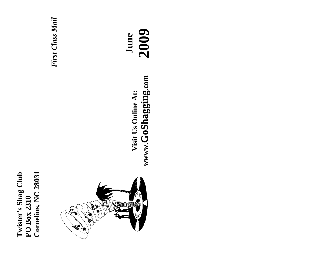**Cornelius, NC 28031 Twister's Shag Club**  Twister's Shag Club<br>PO Box 2310 Cornelius, NC 28031 **PO Box 2310** 





**June 2009** www.GoShagging.com **wwww.GoShagging.com** Visit Us Online At: **Visit Us Online At:**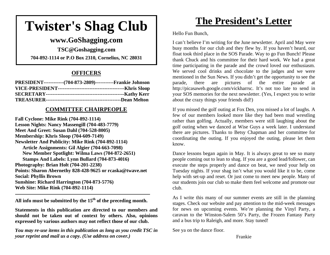# **Twister's Shag Club**

# **www.GoShagging.com**

**TSC@Goshagging.com 704-892-1114 or P.O Box 2310, Cornelius, NC 28031** 

### **OFFICERS**

| PRESIDENT-------------(704-873-2809)------------Frankie Johnson |  |
|-----------------------------------------------------------------|--|
|                                                                 |  |
|                                                                 |  |
|                                                                 |  |

### **COMMITTEE CHAIRPEOPLE**

**Fall Cyclone: Mike Rink (704-892-1114) Lesson Nights: Nancy Massengill (704-483-7779) Meet And Greet: Susan Dahl (704-528-8005) Membership: Khris Sloop (704-609-7149) Newsletter And Publicity: Mike Rink (704-892-1114) Article Assignments: Gil Algier (704-663-7098) New Member Spotlight: Wilma Laws (704-872-2651) Stamps And Labels: Lynn Bullard (704-873-4016) Photography: Brian Holt (704-201-2238) Points: Sharon Abernethy 828-428-9625 or rcaska@twave.net Social: Phyllis Brown Sunshine: Richard Harrington (704-873-5776) Web Site: Mike Rink (704-892-1114)** 

**All info must be submitted by the 15th of the preceding month.** 

**Statements in this publication are directed to our members and should not be taken out of context by others. Also, opinions expressed by various authors may not reflect those of our club.** 

*You may re-use items in this publication as long as you credit TSC in your reprint and mail us a copy. (Use address on cover.)* 

# **The President's Letter**

Hello Fun Bunch,

I can't believe I'm writing for the June newsletter. April and May were busy months for our club and they flew by. If you haven't heard, our float took third place in the SOS Parade. Way to go Fun Bunch! Please thank Chuck and his committee for their hard work. We had a great time participating in the parade and the crowd loved our enthusiasm. We served cool drinks and chocolate to the judges and we were mentioned in the Sun News. If you didn't get the opportunity to see the parade, there are pictures of the entire parade at http://picasaweb.google.com/vickharrsc. It's not too late to send in your SOS memories for the next newsletter. (Yes, I expect you to write about the crazy things your friends did!)

If you missed the golf outing at Fox Den, you missed a lot of laughs. A few of our members looked more like they had been mud wrestling rather than golfing. Actually, members were still laughing about the golf outing when we danced at Wise Guys a week later. I understand there are pictures. Thanks to Betsy Chapman and her committee for coordinating the outing. If you enjoyed the outing, please let them know.

Dance lessons began again in May. It is always great to see so many people coming out to lean to shag. If you are a good lead/follower, can execute the steps properly and dance on beat, we need your help on Tuesday nights. If your shag isn't what you would like it to be, come help with set-up and reset. Or just come to meet new people. Many of our students join our club so make them feel welcome and promote our club.

As I write this many of our summer events are still in the planning stages. Check our website and pay attention to the mid-week messages for news on upcoming events. We're planning the Vinyl Party, a caravan to the Winston-Salem 50's Party, the Frozen Fantasy Party and a bus trip to Raleigh, and more. Stay tuned!

See ya on the dance floor.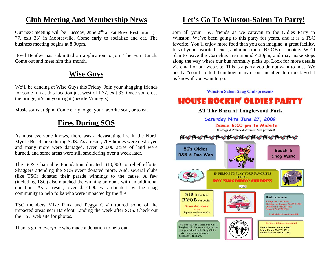# **Club Meeting And Membership News**

Our next meeting will be Tuesday, June  $2<sup>nd</sup>$  at Fat Boys Restaurant (I-77, exit 36) in Mooresville. Come early to socialize and eat. The business meeting begins at 8:00pm.

Boyd Bentley has submitted an application to join The Fun Bunch. Come out and meet him this month.

# **Wise Guys**

We'll be dancing at Wise Guys this Friday. Join your shagging friends for some fun at this location just west of I-77, exit 33. Once you cross the bridge, it's on your right (beside Vinney's).

Music starts at 8pm. Come early to get your favorite seat, or to eat.

# **Fires During SOS**

As most everyone knows, there was a devastating fire in the North Myrtle Beach area during SOS. As a result, 70+ homes were destroyed and many more were damaged. Over 20,000 acres of land were burned, and some areas were still smoldering over a week later.

The SOS Charitable Foundation donated \$10,000 to relief efforts. Shaggers attending the SOS event donated more. And, several clubs (like TSC) donated their parade winnings to the cause. A few (including TSC) also matched the winning amounts with an additional donation. As a result, over \$17,000 was donated by the shag community to help folks who were impacted by the fire.

TSC members Mike Rink and Peggy Cavin toured some of the impacted areas near Barefoot Landing the week after SOS. Check out the TSC web site for photos.

Thanks go to everyone who made a donation to help out.

# **Let's Go To Winston-Salem To Party!**

Join all your TSC friends as we caravan to the Oldies Party in Winston. We've been going to this party for years, and it is a TSC favorite. You'll enjoy more food than you can imagine, a great facility, lots of your favorite friends, and much more. BYOB or shooters. We'll plan to leave the Cornelius area around 4:30pm, and may make stops along the way where our bus normally picks up. Look for more details via email or our web site. This is a party you do not want to miss. We need a "count" to tell them how many of our members to expect. So let us know if you want to go.

#### **Winston Salem Shag Club presents**

# **HOUSE ROCKIN' OLDIES PARTY**

### **AT The Barn at Tanglewood Park**

Saturday Nite June 27, 2009 Dance 6:00 pm to Midnite (Hotdogs & Potluck & Covered Dish provided)

### Nethethethethethethethethe

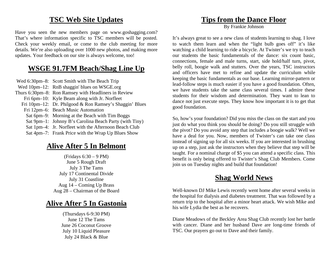# **TSC Web Site Updates**

Have you seen the new members page on www.goshagging.com? That's where information specific to TSC members will be posted. Check your weekly email, or come to the club meeting for more details. We're also uploading over 1000 new photos, and making more updates. Your feedback on our site is always welcome, too!

# **WSGE 91.7FM Beach/Shag Line Up**

 Wed 6:30pm–8: Scott Smith with The Beach Trip Wed 10pm–12: RnB shaggin' blues on WSGE.org Thurs 6:30pm–8: Ron Ramsey with Headliners in Review Fri 6pm–10: Kyle Beam along with Jr. Norfleet Fri 10pm–12: Dr. Philgood & Ron Ramsey's Shaggin' Blues Fri 12pm–6: Beach Music Automation Sat 6pm–9: Morning at the Beach with Tim Boggs Sat 9pm–1: Johnny B's Carolina Beach Party (with Tiny) Sat 1pm–4: Jr. Norfleet with the Afternoon Beach Club Sat 4pm–7: Frank Price with the Wrap Up Blues Show

# **Alive After 5 In Belmont**

(Fridays 6:30 – 9 PM) June 5 Rough Draft July 3 The Tams July 17 Continental Divide July 31 Coastline Aug 14 – Coming Up Brass Aug 28 – Chairman of the Board

# **Alive After 5 In Gastonia**

(Thursdays 6-9:30 PM) June 12 The Tams June 26 Coconut Groove July 10 Liquid Pleasure July 24 Black & Blue

# **Tips from the Dance Floor**

By Frankie Johnson

It's always great to see a new class of students learning to shag. I love to watch them learn and when the "light bulb goes off" it's like watching a child learning to ride a bicycle. At Twister's we try to teach our students the basic fundamentals of the dance: six count basic, connections, female and male turns, start, side hold/half turn, pivot, belly roll, boogie walk and stutters. Over the years, TSC instructors and officers have met to refine and update the curriculum while keeping the basic fundamentals as our base. Learning mirror-pattern or lead-follow steps is much easier if you have a good foundation. Often, we have students take the same class several times. I admire these students for their wisdom and determination. They want to lean to dance not just execute steps. They know how important it is to get that good foundation.

So, how's your foundation? Did you miss the class on the start and you just do what you think you should be doing? Do you still struggle with the pivot? Do you avoid any step that includes a boogie walk? Well we have a deal for you. Now, members of Twister's can take one class instead of signing up for all six weeks. If you are interested in brushing up on a step, just ask the instructors when they believe that step will be taught. For a nominal charge of \$5 you can attend a specific class. This benefit is only being offered to Twister's Shag Club Members. Come join us on Tuesday nights and build that foundation!

# **Shag World News**

Well-known DJ Mike Lewis recently went home after several weeks in the hospital for dialysis and diabetes treatment. That was followed by a return trip to the hospital after a minor heart attack. We wish Mike and his wife Lydia the best as he recovers.

Diane Meadows of the Beckley Area Shag Club recently lost her battle with cancer. Diane and her husband Dave are long-time friends of TSC. Our prayers go out to Dave and their family.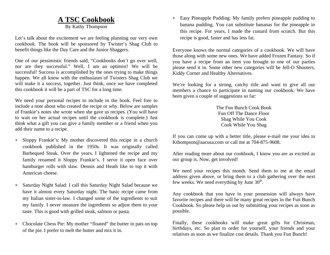# **A TSC Cookbook**

By Kathy Thompson

Let's talk about the excitement we are feeling planning our very own cookbook. The book will be sponsored by Twister's Shag Club to benefit things like the Day Care and the Junior Shaggers.

One of our pessimistic friends said, "Cookbooks don't go over well, nor are they successful." Well, I am an optimist! We will be successful! Success is accomplished by the ones trying to make things happen. We all know with the enthusiasm of Twisters Shag Club we will make it a success, together. Just think, once we have completed this cookbook it will be a part of TSC for a long time.

We need your personal recipes to include in the book. Feel free to include a note about who created the recipe or why. Below are samples of Frankie's notes she wrote when she gave us recipes. (You will have to wait on her actual recipes until the cookbook is complete.) Just think what a gift you can give a family member or a friend when you add their name to a recipe.

- $\star$  Sloppy Frankie's: My mother discovered this recipe in a church cookbook published in the 1950s. It was originally called Barbequed Steak. Over the years, I lightened the recipe and my family renamed it Sloppy Frankie's. I serve it open face over hamburger rolls with slaw. Dennis and Heath like to top it with American cheese.
- $\ast$  Saturday Night Salad: I call this Saturday Night Salad because we have it almost every Saturday night. The basic recipe came from my Italian sister-in-law. I changed some of the ingredients to suit my family. I never measure the ingredients so adjust them to your taste. This is good with grilled steak, salmon or pasta.
- $\ast$  Chocolate Chess Pie: My mother "floated" the butter in pats on top of the pie. I prefer to melt the butter and mix it in.

 Easy Pineapple Pudding: My family prefers pineapple pudding to banana pudding. You can substitute bananas for the pineapple in this recipe. For years, I made the custard from scratch. But this recipe is good, faster and has less fat.

Everyone knows the normal categories of a cookbook. We will have those along with some new ones. We have added Frozen Fantasy. So if you have a recipe from an item you brought to one of our parties please send it in. Some other new categories will be Jell-O Shooters, Kiddy Corner and Healthy Alternatives.

We're looking for a strong, catchy title and want to give all our members a chance to participate in naming our cookbook. We have been given a couple of suggestions so far:

> The Fun Bunch Cook Book Fun Off The Dance Floor Shag While You Cook Cook While You Shag

If you can come up with a better title, please e-mail me your idea to Kthompson@aacusa.com or call me at 704-875-9608.

After reading more about our cookbook, I know you are as excited as our group is. Now, get involved!

We need your recipes this month. Send them to me at the email address given above, or bring them to a club gathering over the next few weeks. We need everything by June  $30<sup>th</sup>$ .

Any cookbook that you have in your possession will always have favorite recipes and there will be many great recipes in the Fun Bunch Cookbook. So please help us out by submitting your recipes as soon as possible.

Finally, these cookbooks will make great gifts for Christmas, birthdays, etc. So plan to order for yourself, your friends and your relatives as soon as we finalize cost details. Thank you Fun Bunch!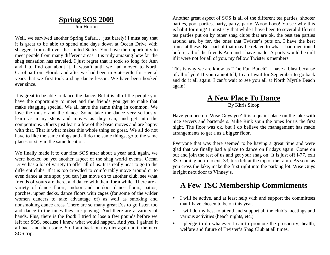# **Spring SOS 2009**

Jim Horton

Well, we survived another Spring Safari… just barely! I must say that it is great to be able to spend nine days down at Ocean Drive with shaggers from all over the United States. You have the opportunity to meet people from many different areas. It is truly amazing how far the shag sensation has traveled. I just regret that it took so long for Ann and I to find out about it. It wasn't until we had moved to North Carolina from Florida and after we had been in Statesville for several years that we first took a shag dance lesson. We have been hooked ever since.

It is great to be able to dance the dance. But it is all of the people you have the opportunity to meet and the friends you get to make that make shagging special. We all have the same thing in common. We love the music and the dance. Some take the dance very seriously, learn as many steps and moves as they can, and get into the competitions. Others just learn a few of the basic moves and are happy with that. That is what makes this whole thing so great. We all do not have to like the same things and all do the same things, go to the same places or stay in the same location.

We finally made it to our first SOS after about a year and, again, we were hooked on yet another aspect of the shag world events. Ocean Drive has a lot of variety to offer all of us. It is really neat to go to the different clubs. If it is too crowded to comfortably move around or to even dance at one spot, you can just move on to another club, see what friends of yours are there, and dance with them for a while. There are a variety of dance floors, indoor and outdoor dance floors, patios, porches, upper decks, dance floors with cages (for some of the wilder women dancers to take advantage of) as well as smoking and nonsmoking dance areas. There are so many great DJs to go listen too and dance to the tunes they are playing. And there are a variety of bands. Plus, there is the food! I tried to lose a few pounds before we left for SOS, because I knew what would happen. And yes, I gained it all back and then some. So, I am back on my diet again until the next SOS trip.

Another great aspect of SOS is all of the different tea parties, shooter parties, pool parties, party, party, party. Wooo hooo! Ya see why this is habit forming? I must say that while I have been to several different tea parties put on by other shag clubs that are ok, the best tea parties around are, by far, the ones that Twister's puts on. I have the best times at these. But part of that may be related to what I had mentioned before; all of the friends Ann and I have made. A party would be dull if it were not for all of you, my fellow Twister's members.

This is why we are know as "The Fun Bunch". I have a blast because of all of you! If you cannot tell, I can't wait for September to go back and do it all again. I can't wait to see you all at North Myrtle Beach again!

### **A New Place To Dance** By Khris Sloop

Have you been to Wise Guys yet? It is a quaint place on the lake with nice servers and bartenders. Mike Rink spun the tunes for us the first night. The floor was ok, but I do believe the management has made arrangements to get a us a bigger floor.

Everyone that was there seemed to be having a great time and were glad that we finally had a place to dance on Fridays again. Come on out and join the rest of us and get your shag on! It is just off I-77, exit 33. Coming north to exit 33, turn left at the top of the ramp. As soon as you cross the lake, make the first right into the parking lot. Wise Guys is right next door to Vinney's.

# **A Few TSC Membership Commitments**

- I will be active, and at least help with and support the committees that I have chosen to be on this year.
- I will do my best to attend and support all the club's meetings and various activities (beach nights, etc.)
- I pledge to do whatever I can to promote the prosperity, health, welfare and future of Twister's Shag Club at all times.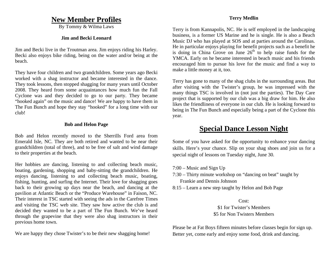### **New Member Profiles**

By Tommy & Wilma Laws

#### **Jim and Becki Leonard**

Jim and Becki live in the Troutman area. Jim enjoys riding his Harley. Becki also enjoys bike riding, being on the water and/or being at the beach.

They have four children and two grandchildren. Some years ago Becki worked with a shag instructor and became interested in the dance. They took lessons, then stopped shagging for many years until October 2008. They heard from some acquaintances how much fun the Fall Cyclone was and they decided to go to our party. They became "hooked again" on the music and dance! We are happy to have them in The Fun Bunch and hope they stay "hooked" for a long time with our club!

#### **Bob and Helon Page**

Bob and Helon recently moved to the Sherrills Ford area from Emerald Isle, NC. They are both retired and wanted to be near their grandchildren (total of three), and to be free of salt and wind damage to their properties at the beach.

Her hobbies are dancing, listening to and collecting beach music, boating, gardening, shopping and baby-sitting the grandchildren. He enjoys dancing, listening to and collecting beach music, boating, fishing, hunting, and surfing the Internet. Their love for shagging goes back to their growing up days near the beach, and dancing at the pavilion at Atlantic Beach or the "Produce Warehouse" in Faison, NC. Their interest in TSC started with seeing the ads in the Carefree Times and visiting the TSC web site. They saw how active the club is and decided they wanted to be a part of The Fun Bunch. We've heard through the grapevine that they were also shag instructors in their previous home town.

We are happy they chose Twister's to be their new shagging home!

### **Terry Medlin**

Terry is from Kannapolis, NC. He is self employed in the landscaping business, is a former US Marine and he is single. He is also a Beach Music DJ who has played at SOS and at parties around the Carolinas. He in particular enjoys playing for benefit projects such as a benefit he is doing in China Grove on June  $26<sup>th</sup>$  to help raise funds for the YMCA. Early on he became interested in beach music and his friends encouraged him to pursue his love for the music and find a way to make a little money at it, too.

Terry has gone to many of the shag clubs in the surrounding areas. But after visiting with the Twister's group, he was impressed with the many things TSC is involved in (not just the parties). The Day Care project that is supported by our club was a big draw for him. He also likes the friendliness of everyone in our club. He is looking forward to being in The Fun Bunch and especially being a part of the Cyclone this year.

# **Special Dance Lesson Night**

Some of you have asked for the opportunity to enhance your dancing skills. Here's your chance. Slip on your shag shoes and join us for a special night of lessons on Tuesday night, June 30.

- 7:00 Music and Sign Up
- 7:30 Thirty minute workshop on "dancing on beat" taught by Frankie and Dennis Johnson
- 8:15 Learn a new step taught by Helon and Bob Page

### Cost: \$1 for Twister's Members \$5 for Non Twisters Members

Please be at Fat Boys fifteen minutes before classes begin for sign up. Better yet, come early and enjoy some food, drink and dancing.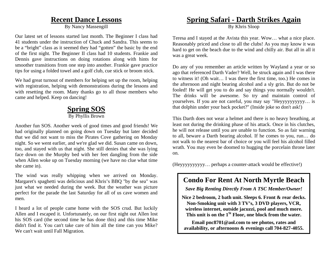### **Recent Dance Lessons**

By Nancy Massengill

Our latest set of lessons started last month. The Beginner I class had 41 students under the instruction of Chuck and Sandra. This seems to be a "bright" class as it seemed they had "gotten" the basic by the end of the first night. The Beginner II class had 10 students. Frankie and Dennis gave instructions on doing rotations along with hints for smoother transitions from one step into another. Frankie gave practice tips for using a folded towel and a golf club, cue stick or broom stick.

We had great turnout of members for helping set up the room, helping with registration, helping with demonstrations during the lessons and with resetting the room. Many thanks go to all those members who came and helped. Keep on dancing!

# **Spring SOS**

#### By Phyllis Brown

Another fun SOS. Another week of good times and good friends! We had originally planned on going down on Tuesday but later decided that we did not want to miss the Pirates Cove gathering on Monday night. So we went earlier, and we're glad we did. Susan came on down, too, and stayed with us that night. She still denies that she was lying face down on the Murphy bed with her feet dangling from the side when Allen woke up on Tuesday morning (we have no clue what time she came in).

The wind was really whipping when we arrived on Monday. Margaret's spaghetti was delicious and Khris's BBQ "by the sea" was just what we needed during the week. But the weather was picture perfect for the parade the last Saturday for all of us cave women and men.

I heard a lot of people came home with the SOS crud. But luckily Allen and I escaped it. Unfortunately, on our first night out Allen lost his SOS card (the second time he has done this) and this time Mike didn't find it. You can't take care of him all the time can you Mike? We can't wait until Fall Migration.

### **Spring Safari - Darth Strikes Again**

By Khris Sloop

Teresa and I stayed at the Avista this year. Wow… what a nice place. Reasonably priced and close to all the clubs! As you may know it was hard to get on the beach due to the wind and chilly air. But all in all it was a great week.

Do any of you remember an article written by Wayland a year or so ago that referenced Darth Vader? Well, he struck again and I was there to witness it! (Oh wait… I was there the first time, too.) He comes in the afternoon and night bearing alcohol and a sly grin. But do not be fooled! He will get you to do and say things you normally wouldn't. The drinks will be awesome. So try and maintain control of yourselves. If you are not careful, you may say "Heyyyyyyyyyy… is that dolphin under your back pocket?" (Inside joke so don't ask!)

This Darth does not wear a helmet and there is no heavy breathing, at least not during the drinking phase of his attack. Once in his clutches, he will not release until you are unable to function. So as fair warning to all, beware a Darth bearing alcohol. If he comes to you, run… do not walk to the nearest bar of choice or you will feel his alcohol filled wrath. You may even be doomed to hugging the porcelain throne later on.

(Heyyyyyyyyyy… perhaps a counter-attack would be effective!)

## **Condo For Rent At North Myrtle Beach**

*Save Big Renting Directly From A TSC Member/Owner!* 

**Nice 2 bedroom, 2 bath unit. Sleeps 6. Front & rear decks. Non-Smoking unit with 3 TV's, 3 DVD players, VCR, wireless internet, outside jacuzzi, pool and much more. This unit is on the 1St Floor, one block from the water.** 

**Email pnc8701@aol.com to see photos, rates and availability, or afternoons & evenings call 704-827-4055.**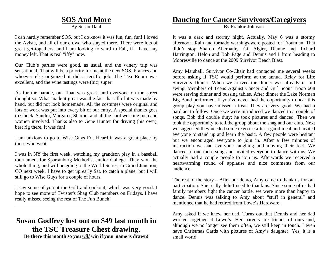### **SOS And More**

By Susan Dahl

I can hardly remember SOS, but I do know it was fun, fun, fun! I loved the Avista, and all of our crowd who stayed there. There were lots of great get-togethers, and I am looking forward to Fall, if I have any money left. That is real "iffy" now.

Our Club's parties were good, as usual, and the winery trip was sensational! That will be a priority for me at the next SOS. Frances and whoever else organized it did a terrific job. The Tea Room was excellent, and the wine tastings were (hic) super.

As for the parade, our float was great, and everyone on the street thought so. What made it great was the fact that all of it was made by hand, but did not look homemade. All the costumes were original and lots of work was put into every bit of our entry. A special thanks goes to Chuck, Sandra, Margaret, Sharon, and all the hard working men and women involved. Thanks also to Gene Hunter for driving (his own), best rig there. It was fun!

I am anxious to go to Wise Guys Fri. Heard it was a great place by those who went.

I was in NY the first week, watching my grandson play in a baseball tournament for Spartanburg Methodist Junior College. They won the whole thing, and will be going to the World Series, in Grand Junction, CO next week. I have to get up early Sat. to catch a plane, but I will still go to Wise Guys for a couple of hours.

I saw some of you at the Golf and cookout, which was very good. I hope to see more of Twister's Shag Club members on Fridays. I have really missed seeing the rest of The Fun Bunch!

# **Susan Godfrey lost out on \$49 last month in the TSC Treasure Chest drawing.**

**Be there this month so you** *will* **win if your name is drawn!** 

# **Dancing for Cancer Survivors/Caregivers**

By Frankie Johnson

It was a dark and stormy night. Actually, May 6 was a stormy afternoon. Rain and tornado warnings were posted for Troutman. That didn't stop Sharon Abernathy, Gil Algier, Dianne and Richard Harrington, Helon and Bob Page and Dennis and I from heading to Mooresville to dance at the 2009 Survivor Beach Blast.

Amy Marshall, Survivor Co-Chair had contacted me several weeks before asking if TSC would perform at the annual Relay for Life Survivors Dinner. When we arrived the dinner was already in full swing. Members of Teens Against Cancer and Girl Scout Troop 608 were serving dinner and bussing tables. After dinner the Lake Norman Big Band performed. If you've never had the opportunity to hear this group play you have missed a treat. They are very good. We had a hard act to follow. Once we were introduced we danced to a couple of songs. Bob did double duty; he took pictures and danced. Then we took the opportunity to tell the group about the shag and our club. Next we suggested they needed some exercise after a good meal and invited everyone to stand up and learn the basic. A few people were hesitant but we encouraged everyone to join in. After a few minutes of instruction we had everyone laughing and moving their feet. We danced to one more song and invited everyone to dance with us. We actually had a couple people to join us. Afterwards we received a heartwarming round of applause and nice comments from our audience.

The rest of the story – After our demo, Amy came to thank us for our participation. She really didn't need to thank us. Since some of us had family members fight the cancer battle, we were more than happy to dance. Dennis was talking to Amy about "stuff in general" and mentioned that he had retired from Lowe's Hardware.

Amy asked if we knew her dad. Turns out that Dennis and her dad worked together at Lowe's. Her parents are friends of ours and, although we no longer see them often, we still keep in touch. I even have Christmas Cards with pictures of Amy's daughter. Yes, it is a small world.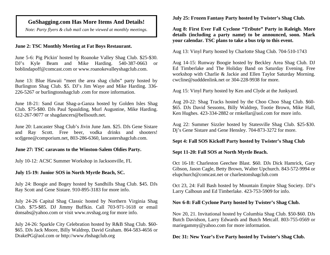### **GoShagging.com Has More Items And Details!**

*Note: Party flyers & club mail can be viewed at monthly meetings.* 

### **June 2: TSC Monthly Meeting at Fat Boys Restaurant.**

June 5-6: Pig Pickin' hosted by Roanoke Valley Shag Club. \$25-\$30. DJ's Kyle Beam and Mike Harding. 540-387-0663 or boblindapoff@comcast.com or www.roanokevalleyshagclub.com.

June 13: Blue Hawaii "meet the area shag clubs" party hosted by Burlington Shag Club. \$5. DJ's Jim Waye and Mike Harding. 336- 226-5267 or burlingtonshagclub .com for more information.

June 18-21: Sand Gnat Shag-a-Ganza hosted by Golden Isles Shag Club. \$75-\$80. DJs Paul Spaulding, Murl Augustine, Mike Harding. 612-267-9077 or shagdancers@bellsouth.net.

June 20: Lancaster Shag Club's Jivin June Jam. \$25. DJs Gene Sistare and Ray Scott. Free beer, vodka drinks and shooters! scdjgene@comporium.net, 803-286-6360, lancastershagclub.com.

### **June 27: TSC caravans to the Winston-Salem Oldies Party.**

July 10-12: ACSC Summer Workshop in Jacksonville, FL

### **July 15-19: Junior SOS in North Myrtle Beach, SC.**

July 24: Boogie and Bogey hosted by Sandhills Shag Club. \$45. DJs Ray Scott and Gene Sistare. 910-895-3183 for more info.

July 24-26 Capital Shag Classic hosted by Northern Virginia Shag Club. \$75-\$85. DJ Jimmy Buffkin. Call 703-971-1618 or email donsabs@yahoo.com or visit www.nvshag.org for more info.

July 24-26: Sparkle City Celebration hosted by R&B Shag Club. \$60- \$65. DJs Jack Moore, Billy Waldrep, David Graham. 864-583-4656 or DrakePG@aol.com or http://www.rbshagclub.org

**July 25: Frozen Fantasy Party hosted by Twister's Shag Club.** 

**Aug 8: First Ever Fall Cyclone "Tribute" Party in Raleigh. More details (including a party name) to be announced, soon. Mark your calendar. TSC plans to take a bus trip to this event.** 

Aug 13: Vinyl Party hosted by Charlotte Shag Club. 704-510-1743

Aug 14-15: Runway Boogie hosted by Beckley Area Shag Club. DJ Ed Timberlake and The Holiday Band on Saturday Evening. Free workshop with Charlie & Jackie and Ellen Taylor Saturday Morning. cwcline@sudddenlink.net or 304-228-9938 for more.

Aug 15: Vinyl Party hosted by Ken and Clyde at the Junkyard.

Aug 20-22: Shag Tracks hosted by the Choo Choo Shag Club. \$60- \$65. DJs David Sessoms, Billy Waldrep, Tootie Brown, Mike Hall, Ken Hughes. 423-334-2882 or rmkellar@aol.com for more info.

Aug 22: Summer Sizzler hosted by Statesville Shag Club. \$25-\$30. Dj's Gene Sistare and Gene Hensley. 704-873-3272 for more.

### **Sept 4: Fall SOS Kickoff Party hosted by Twister's Shag Club**

#### **Sept 11-20: Fall SOS at North Myrtle Beach.**

Oct 16-18: Charleston Geechee Blast. \$60. DJs Dick Hamrick, Gary Gibson, Jason Cagle, Betty Brown, Walter Upchurch. 843-572-9994 or elupchurch@comcast.net or charlestonshagclub.com

Oct 23, 24: Fall Bash hosted by Mountain Empire Shag Society. DJ's Larry Calhoun and Ed Timberlake. 423-753-5909 for info.

### **Nov 6-8: Fall Cyclone Party hosted by Twister's Shag Club.**

Nov 20, 21. Invitational hosted by Columbia Shag Club. \$50-\$60. DJs Butch Davidson, Larry Edwards and Butch Metcalf. 803-755-0569 or mariegammy@yahoo.com for more information.

### **Dec 31: New Year's Eve Party hosted by Twister's Shag Club.**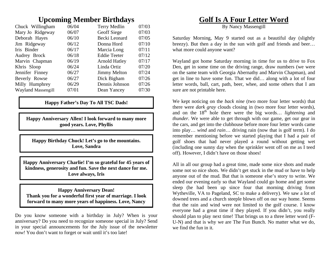# **Upcoming Member Birthdays**

| 06/04 | Terry Medlin         | 07/03 |
|-------|----------------------|-------|
| 06/07 | Geoff Siege          | 07/03 |
| 06/10 | Becki Leonard        | 07/05 |
| 06/12 | Donna Hord           | 07/10 |
| 06/17 | Marcia Long          | 07/11 |
| 06/18 | <b>Eddie Teeter</b>  | 07/12 |
| 06/19 | <b>Arnold Hatley</b> | 07/17 |
| 06/24 | Linda Ortiz          | 07/20 |
| 06/27 | <b>Jimmy Melton</b>  | 07/24 |
| 06/27 | Dick Bigham          | 07/26 |
| 06/29 | Dennis Johnson       | 07/26 |
| 07/01 | Dean Yancey          | 07/30 |
|       |                      |       |

### **Happy Father's Day To All TSC Dads!**

**Happy Anniversary Allen! I look forward to many more good years. Love, Phyllis** 

**Happy Birthday Chuck! Let's go to the mountains. Love, Sandra** 

**Happy Anniversary Charlie! I'm so grateful for 45 years of kindness, generosity and fun. Save the next dance for me. Love always, Iris** 

**Happy Anniversary Dean! Thank you for a wonderful first year of marriage. I look forward to many more years of happiness. Love, Nancy** 

Do you know someone with a birthday in July? When is your anniversary? Do you need to recognize someone special in July? Send in your special announcements for the July issue of the newsletter *now!* You don't want to forget or wait until it's too late!

# **Golf Is A Four Letter Word**

By Nancy Massengill

Saturday Morning, May 9 started out as a beautiful day (slightly breezy). But then a day in the sun with golf and friends and beer… what more could anyone want?

Wayland got home Saturday morning in time for us to drive to Fox Den, get in some time on the driving range, draw numbers (we were on the same team with Georgia Abernathy and Marvin Chapman), and get in line to have some fun. That we did… along with a lot of four letter words, ball, cart, path, beer, whee, and some others that I am sure are not printable here.

We kept noticing on the *back nine* (two more four letter words) that there were *dark gray* clouds closing in (two more four letter words), and on the 18<sup>th</sup> hole there were the big words… *lightening* and *thunder*. We were able to get through with our game, get our gear in the cars, and get into the clubhouse before more four letter words came into play… *wind* and *rain*… driving rain (now that is golf term). I do remember mentioning before we started playing that I had a pair of golf shoes that had never played a round without getting wet (including one sunny day when the sprinkler went off on me as I teed off). However, I didn't have on those shoes!

All in all our group had a great time, made some nice shots and made some not so nice shots. We didn't get stuck in the mud or have to help anyone out of the mud. But that is someone else's story to write. We ended our evening early so that Wayland could go home and get some sleep (he had been up since four that morning driving from Wytheville, VA to Pageland, SC to make a delivery). We saw a lot of downed trees and a church steeple blown off on our way home. Seems that the rain and wind were not limited to the golf course. I know everyone had a great time if they played. If you didn't, you really should plan to play next time! That brings us to a three letter word (F-U-N) and that is why we are The Fun Bunch. No matter what we do, we find the fun in it.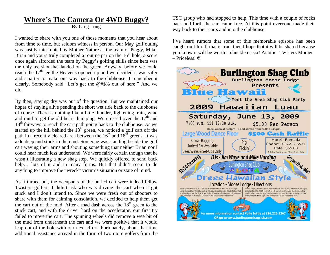# **Where's The Camera Or 4WD Buggy?**

By Greg Long

I wanted to share with you one of those moments that you hear about from time to time, but seldom witness in person. Our May golf outing was nastily interrupted by Mother Nature as the team of Peggy, Mike, Brian and yours truly completed a routine par on the  $16<sup>th</sup>$  hole; a score once again afforded the team by Peggy's golfing skills since hers was the only tee shot that landed on the green. Anyway, before we could reach the  $17<sup>th</sup>$  tee the Heavens opened up and we decided it was safer and smarter to make our way back to the clubhouse. I remember it clearly. Somebody said "Let's get the @#\$% out of here!" And we did.

By then, staying dry was out of the question. But we maintained our hopes of staying alive pending the short wet ride back to the clubhouse of course. There is nothing like a little thunder, lightening, rain, wind and mud to get the old heart thumping. We crossed over the  $17<sup>th</sup>$  and  $18<sup>th</sup>$  fairways to reach the cart path going back to the clubhouse. As we started up the hill behind the  $18<sup>th</sup>$  green, we noticed a golf cart off the path in a recently cleared area between the  $16<sup>th</sup>$  and  $18<sup>th</sup>$  greens. It was axle deep and stuck in the mud. Someone was standing beside the golf cart waving their arms and shouting something that neither Brian nor I could hear much less understand. We were fairly certain though that he wasn't illustrating a new shag step. We quickly offered to send back help... lots of it and in many forms. But that didn't seem to do anything to improve the "wreck" victim's situation or state of mind.

As it turned out, the occupants of the buried cart were indeed fellow Twisters golfers. I didn't ask who was driving the cart when it got stuck and I don't intend to. Since we were fresh out of shooters to share with them for calming consolation, we decided to help them get the cart out of the mud. After a mad dash across the  $18<sup>th</sup>$  green to the stuck cart, and with the driver hard on the accelerator, our first try failed to move the cart. The spinning wheels did remove a wee bit of the mud from underneath the cart and we were positive that it would leap out of the hole with our next effort. Fortunately, about that time additional assistance arrived in the form of two more golfers from the

TSC group who had stopped to help. This time with a couple of rocks back and forth the cart came free. At this point everyone made their way back to their carts and into the clubhouse.

I've heard rumors that some of this memorable episode has been caught on film. If that is true, then I hope that it will be shared because you know it will be worth a chuckle or six! Another Twisters Moment – Priceless!

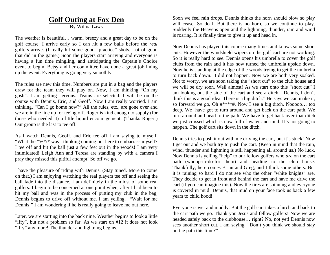# **Golf Outing at Fox Den**

By Wilma Laws

The weather is beautiful… warm, breezy and a great day to be on the golf course. I arrive early so I can hit a few balls before the *real* golfers arrive. (I really hit some good "practice" shots. Lot of good that did in the game.) Soon the players start arriving and everyone is having a fun time mingling, and anticipating the Captain's Choice event to begin. Betsy and her committee have done a great job lining up the event. Everything is going very smoothly.

The rules are new this time. Numbers are put in a bag and the players draw for the team they will play on. Now, I am thinking "Oh my gosh". I am getting nervous. Teams are selected. I will be on the course with Dennis, Eric, and Geoff. Now I am really worried. I am thinking, "Can I go home now?" All the rules, etc., are gone over and we are in the line up for teeing off. Roger is kind enough to supply (for those who needed it) a little liquid encouragement. (Thanks Roger!) Our group is the last to tee off.

As I watch Dennis, Geoff, and Eric tee off I am saying to myself, "What the \*%\*/\* was I thinking coming out here to embarrass myself? I tee off and hit the ball just a few feet out in the woods! I am very intimidated! Leigh Ann and Teresa are standing by with a camera I pray they missed this pitiful attempt! So off we go.

I have the pleasure of riding with Dennis. (Stay tuned. More to come on that.) I am enjoying watching the real players tee off and seeing the ball fade into the distance. I am definitely in the midst of some real golfers. I begin to be concerned at one point when, after I had been to hit my ball and was in the process of putting my club in the bag, Dennis begins to drive off without me. I am yelling, "Wait for me Dennis!" I am wondering if he is really going to leave me out here.

Later, we are starting into the back nine. Weather begins to look a little "iffy", but not a problem so far. As we start on #12 it does not look "iffy" any more! The thunder and lightning begins.

Soon we feel rain drops. Dennis thinks the horn should blow so play will cease. So do I. But there is no horn, so we continue to play. Suddenly the Heavens open and the lightning, thunder, rain and wind is roaring. It is finally time to give it up and head in.

Now Dennis has played this course many times and knows some short cuts. However the windshield wipers on the golf cart are not working. So it is really hard to see. Dennis opens his umbrella to cover the golf clubs from the rain and it has now turned the umbrella upside down. Now he is standing at the edge of the woods trying to get the umbrella to turn back down. It did not happen. Now we are both very soaked. Not to worry, we are soon taking the "short cut" to the club house and we will be dry soon. Well almost! As we start onto this "short cut" I am looking out the side of the cart and see a ditch. "Dennis, I don't think this is a good idea. There is a big ditch." He says we can make it, so forward we go, Oh #\*\*\*^#. Now I see a big ditch. Nooooo… too deep. We have got to turn around and get back on the cart path. We turn around and head to the path. We have to get back over that ditch we just crossed which is now full of water and mud. It's not going to happen. The golf cart sits down in the ditch.

Dennis tries to push it out with me driving the cart, but it's stuck! Now I get out and we both try to push the cart. (Keep in mind that the rain, wind, thunder and lightning is still happening all around us.) No luck. Now Dennis is yelling "help" to our fellow golfers who *are* on the cart path (whoop-to-do-for them) and heading to the club house. Thankfully, here comes Brian and Greg, and I think some others. But it is raining so hard I do not see who the other "white knights" are. They decide to get in front and behind the cart and have me drive the cart (if you can imagine this). Now the tires are spinning and everyone is covered in mud! Dennis, that mud on your face took us back a few years to child hood!

Everyone is wet and muddy. But the golf cart takes a lurch and back to the cart path we go. Thank you Jesus and fellow golfers! Now we are headed safely back to the clubhouse… right? No, not yet! Dennis now sees another short cut. I am saying, "Don't you think we should stay on the path this time?"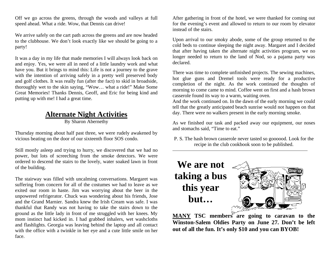Off we go across the greens, through the woods and valleys at full speed ahead. What a ride. Wow, that Dennis can drive!

We arrive safely on the cart path across the greens and are now headed to the clubhouse. We don't look exactly like we should be going to a party!

It was a day in my life that made memories I will always look back on and enjoy. Yes, we were all in need of a little laundry work and what have you. But it brings to mind this: Life is not a journey to the grave with the intention of arriving safely in a pretty well preserved body and golf clothes. It was really fun (after the fact) to skid in broadside, thoroughly wet to the skin saying, "Wow… what a ride!" Make Some Great Memories! Thanks Dennis, Geoff, and Eric for being kind and putting up with me! I had a great time.

# **Alternate Night Activities**

By Sharon Abernethy

Thursday morning about half past three, we were rudely awakened by vicious beating on the door of our sixteenth floor SOS condo.

Still mostly asleep and trying to hurry, we discovered that we had no power, but lots of screeching from the smoke detectors. We were ordered to descend the stairs to the lovely, water soaked lawn in front of the building.

The stairway was filled with uncalming conversations. Margaret was suffering from concern for all of the costumes we had to leave as we exited our room in haste. Jim was worrying about the beer in the unpowered refrigerator. Chuck was wondering about his friends, Jose and the Grand Marnier. Sandra knew the Irish Cream was safe. I was thankful that Randy was not having to take the stairs down to the ground as the little lady in front of me struggled with her knees. My mom instinct had kicked in. I had grabbed inhalers, wet washcloths and flashlights. Georgia was leaving behind the laptop and all contact with the office with a twinkle in her eye and a cute little smile on her face.

After gathering in front of the hotel, we were thanked for coming out for the evening's event and allowed to return to our room by elevator instead of the stairs.

Upon arrival to our smoky abode, some of the group returned to the cold beds to continue sleeping the night away. Margaret and I decided that after having taken the alternate night activities program, we no longer needed to return to the land of Nod, so a pajama party was declared.

There was time to complete unfinished projects. The sewing machines, hot glue guns and Dremel tools were ready for a productive completion of the night. As the work continued the thoughts of morning to come came to mind. Coffee went on first and a hash brown casserole found its way to a warm, waiting oven.

And the work continued on. In the dawn of the early morning we could tell that the greatly anticipated beach sunrise would not happen on that day. There were no walkers present in the early morning smoke.

As we finished our task and packed away our equipment, our noses and stomachs said, "Time to eat."

P. S. The hash brown casserole never tasted so goooood. Look for the recipe in the club cookbook soon to be published.



**MANY TSC members** are going to caravan to the **Winston-Salem Oldies Party on June 27. Don't be left out of all the fun. It's only \$10 and you can BYOB!**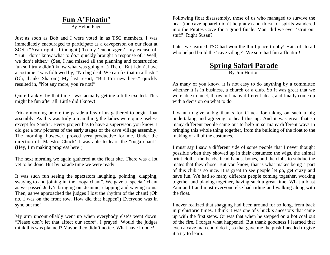# **Fun A'Floatin'**

By Helon Page

Just as soon as Bob and I were voted in as TSC members, I was immediately encouraged to participate as a caveperson on our float at SOS. ("Yeah right", I thought.) To my 'encouragers', my excuse of, "But I don't know what to do." quickly brought a response of, "Well, we don't either." (See, I had missed all the planning and construction fun so I truly didn't know what was going on.) Then, "But I don't have a costume." was followed by, "No big deal. We can fix that in a flash." (Oh, thanks Sharon!) My last resort, "But I'm new here." quickly resulted in, "Not any more, you're not!"

Quite frankly, by that time I was actually getting a little excited. This might be fun after all. Little did I know!

Friday morning before the parade a few of us gathered to begin float assembly. As this was truly a man thing, the ladies were quite useless except for Sandra. Every project has to have a supervisor, you know. I did get a few pictures of the early stages of the cave village assembly. The morning, however, proved very productive for me. Under the direction of 'Maestro Chuck' I was able to learn the "ooga chant". (Hey, I'm making progress here!)

The next morning we again gathered at the float site. There was a lot yet to be done. But by parade time we were ready.

It was such fun seeing the spectators laughing, pointing, clapping, swaying to and joining in, the "ooga chant". We gave a 'special' chant as we passed Judy's bringing out Jeannie, clapping and waving to us. Then, as we approached the judges I lost the rhythm of the chant! (Oh no, I was on the front row. How did that happen?) Everyone was in sync but me!

My arm uncontrollably went up when everybody else's went down. "Please don't let that affect our score", I prayed. Would the judges think this was planned? Maybe they didn't notice. What have I done?

Following float disassembly, those of us who managed to survive the heat (the cave apparel didn't help any) and thirst for spirits wandered into the Pirates Cove for a grand finale. Man, did we ever 'strut our stuff'. Right Susan?

Later we learned TSC had won the third place trophy! Hats off to all who helped build the 'cave village'. We sure had fun a'floatin'!

### **Spring Safari Parade** By Jim Horton

As many of you know, it is not easy to do anything by a committee whether it is in business, a church or a club. So it was great that we were able to meet, throw out many different ideas, and finally come up with a decision on what to do.

I want to give a big thanks for Chuck for taking on such a big undertaking and agreeing to head this up. And it was great that so many different people came out to help in so many different ways in bringing this whole thing together, from the building of the float to the making of all of the costumes.

I must say I saw a different side of some people that I never thought possible when they showed up in their costumes; the wigs, the animal print cloths, the beads, head bands, bones, and the clubs to subdue the mates that they chose. But you know, that is what makes being a part of this club is so nice. It is great to see people let go, get crazy and have fun. We had so many different people coming together, working together and playing together, having such a great time. What a blast Ann and I and most everyone else had riding and walking along with the float.

I never realized that shagging had been around for so long, from back in prehistoric times. I think it was one of Chuck's ancestors that came up with the first steps. Or was that when he stepped on a hot coal out of the fire. I forget what happened. But thank goodness I learned that even a cave man could do it, so that gave me the push I needed to give it a try to learn.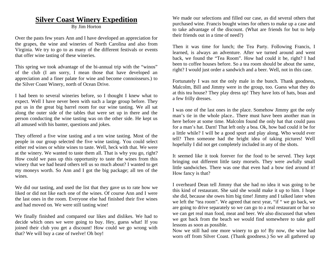# **Silver Coast Winery Expedition**

#### By Jim Horton

Over the pasts few years Ann and I have developed an appreciation for the grapes, the wine and wineries of North Carolina and also from Virginia. We try to go to as many of the different festivals or events that offer wine tasting of these wineries.

This spring we took advantage of the bi-annual trip with the "winos" of the club (I am sorry, I mean those that have developed an appreciation and a finer palate for wine and become connoisseurs.) to the Silver Coast Winery, north of Ocean Drive.

I had been to several wineries before, so I thought I knew what to expect. Well I have never been with such a large group before. They put us in the great big barrel room for our wine tasting. We all sat along the outer side of the tables that were set up in there and the person conducting the wine tasting was on the other side. He kept us all amused with his banter, questions and jokes.

They offered a five wine tasting and a ten wine tasting. Most of the people in our group selected the five wine tasting. You could select either red wines or white wines to taste. Well, heck with that. We were at the winery. We wanted to taste them all. That is why you go, right? How could we pass up this opportunity to taste the wines from this winery that we had heard others tell us so much about? I wanted to get my moneys worth. So Ann and I got the big package; all ten of the wines.

We did our tasting, and used the list that they gave us to rate how we liked or did not like each one of the wines. Of course Ann and I were the last ones in the room. Everyone else had finished their five wines and had moved on. We were still tasting wine!

We finally finished and compared our likes and dislikes. We had to decide which ones we were going to buy. Hey, guess what! If you joined their club you get a discount! How could we go wrong with that? We will buy a case of twelve! Oh boy!

We made our selections and filled our case, as did several others that purchased wine. Francis bought wines for others to make up a case and to take advantage of the discount. (What are friends for but to help their friends out in a time of need?)

Then it was time for lunch; the Tea Party. Following Francis, I learned, is always an adventure. After we turned around and went back, we found the "Tea Room". How bad could it be, right? I had been to coffee houses before. So a tea room should be about the same, right? I would just order a sandwich and a beer. Well, not in this case.

Fortunately I was not the only male in the bunch. Thank goodness, Malcolm, Bill and Jimmy were in the group, too. Guess what they do at this tea house? They play dress up! They have lots of hats, boas and a few frilly dresses.

I was one of the last ones in the place. Somehow Jimmy got the only man's tie in the whole place.. There must have been another man in here before at some time. Malcolm found the only hat that could pass for a man's hat. Darn! That left only a boa. Ok, how bad could it be for a little while? I will be a good sport and play along. Who would ever tell? Then someone had the bright idea of taking pictures! Well hopefully I did not get completely included in any of the shots.

It seemed like it took forever for the food to be served. They kept bringing out different little tasty morsels. They were awfully small little sandwiches. There was one that even had a bow tied around it! How fancy is that?

I overheard Dean tell Jimmy that she had no idea it was going to be this kind of restaurant. She said she would make it up to him. I hope she did, because she owes him big time! Jimmy and I talked later when we left the "tea room". We agreed that next year, "if " we go back, we are going to drive separately so we can go to a real restaurant or bar so we can get real man food, meat and beer. We also discussed that when we got back from the beach we would find somewhere to take golf lessons as soon as possible.

Now we still had one more winery to go to! By now, the wine had worn off from Silver Coast. (Thank goodness.) So we all gathered up